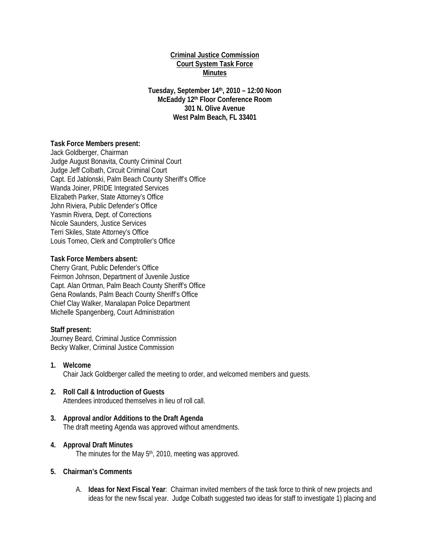## **Criminal Justice Commission Court System Task Force Minutes**

**Tuesday, September 14th, 2010 – 12:00 Noon McEaddy 12th Floor Conference Room 301 N. Olive Avenue West Palm Beach, FL 33401** 

## **Task Force Members present:**

Jack Goldberger, Chairman Judge August Bonavita, County Criminal Court Judge Jeff Colbath, Circuit Criminal Court Capt. Ed Jablonski, Palm Beach County Sheriff's Office Wanda Joiner, PRIDE Integrated Services Elizabeth Parker, State Attorney's Office John Riviera, Public Defender's Office Yasmin Rivera, Dept. of Corrections Nicole Saunders, Justice Services Terri Skiles, State Attorney's Office Louis Tomeo, Clerk and Comptroller's Office

## **Task Force Members absent:**

Cherry Grant, Public Defender's Office Feirmon Johnson, Department of Juvenile Justice Capt. Alan Ortman, Palm Beach County Sheriff's Office Gena Rowlands, Palm Beach County Sheriff's Office Chief Clay Walker, Manalapan Police Department Michelle Spangenberg, Court Administration

#### **Staff present:**

Journey Beard, Criminal Justice Commission Becky Walker, Criminal Justice Commission

- **1. Welcome**  Chair Jack Goldberger called the meeting to order, and welcomed members and guests.
- **2. Roll Call & Introduction of Guests**  Attendees introduced themselves in lieu of roll call.
- **3. Approval and/or Additions to the Draft Agenda**  The draft meeting Agenda was approved without amendments.

#### **4. Approval Draft Minutes**

The minutes for the May 5<sup>th</sup>, 2010, meeting was approved.

## **5. Chairman's Comments**

A. **Ideas for Next Fiscal Year**: Chairman invited members of the task force to think of new projects and ideas for the new fiscal year. Judge Colbath suggested two ideas for staff to investigate 1) placing and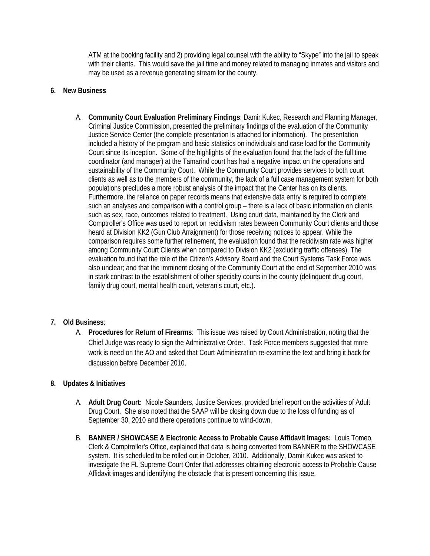ATM at the booking facility and 2) providing legal counsel with the ability to "Skype" into the jail to speak with their clients. This would save the jail time and money related to managing inmates and visitors and may be used as a revenue generating stream for the county.

## **6. New Business**

A. **Community Court Evaluation Preliminary Findings**: Damir Kukec, Research and Planning Manager, Criminal Justice Commission, presented the preliminary findings of the evaluation of the Community Justice Service Center (the complete presentation is attached for information). The presentation included a history of the program and basic statistics on individuals and case load for the Community Court since its inception. Some of the highlights of the evaluation found that the lack of the full time coordinator (and manager) at the Tamarind court has had a negative impact on the operations and sustainability of the Community Court. While the Community Court provides services to both court clients as well as to the members of the community, the lack of a full case management system for both populations precludes a more robust analysis of the impact that the Center has on its clients. Furthermore, the reliance on paper records means that extensive data entry is required to complete such an analyses and comparison with a control group – there is a lack of basic information on clients such as sex, race, outcomes related to treatment. Using court data, maintained by the Clerk and Comptroller's Office was used to report on recidivism rates between Community Court clients and those heard at Division KK2 (Gun Club Arraignment) for those receiving notices to appear. While the comparison requires some further refinement, the evaluation found that the recidivism rate was higher among Community Court Clients when compared to Division KK2 (excluding traffic offenses). The evaluation found that the role of the Citizen's Advisory Board and the Court Systems Task Force was also unclear; and that the imminent closing of the Community Court at the end of September 2010 was in stark contrast to the establishment of other specialty courts in the county (delinquent drug court, family drug court, mental health court, veteran's court, etc.).

# **7. Old Business**:

A. **Procedures for Return of Firearms**: This issue was raised by Court Administration, noting that the Chief Judge was ready to sign the Administrative Order. Task Force members suggested that more work is need on the AO and asked that Court Administration re-examine the text and bring it back for discussion before December 2010.

## **8. Updates & Initiatives**

- A. **Adult Drug Court:** Nicole Saunders, Justice Services, provided brief report on the activities of Adult Drug Court. She also noted that the SAAP will be closing down due to the loss of funding as of September 30, 2010 and there operations continue to wind-down.
- B. **BANNER / SHOWCASE & Electronic Access to Probable Cause Affidavit Images:** Louis Tomeo, Clerk & Comptroller's Office, explained that data is being converted from BANNER to the SHOWCASE system. It is scheduled to be rolled out in October, 2010. Additionally, Damir Kukec was asked to investigate the FL Supreme Court Order that addresses obtaining electronic access to Probable Cause Affidavit images and identifying the obstacle that is present concerning this issue.